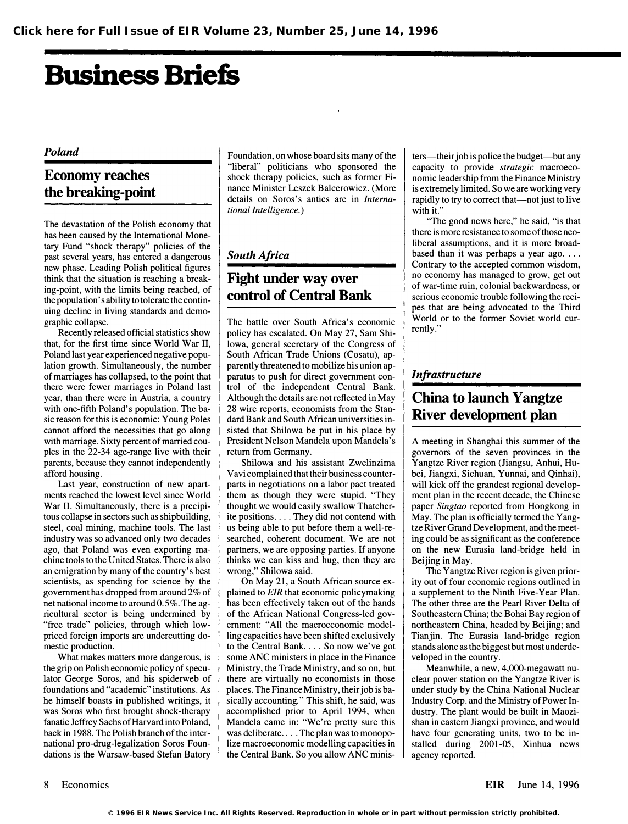# Business Briefs

#### Poland

## Economy reaches the breaking-point

The devastation of the Polish economy that has been caused by the International Monetary Fund "shock therapy" policies of the past several years, has entered a dangerous new phase. Leading Polish political figures think that the situation is reaching a breaking-point, with the limits being reached, of the population's ability to tolerate the continuing decline in living standards and demographic collapse.

Recently released official statistics show that, for the first time since World War II, Poland last year experienced negative population growth. Simultaneously, the number of marriages has collapsed, to the point that there were fewer marriages in Poland last year, than there were in Austria, a country with one-fifth Poland's population. The basic reason for this is economic: Young Poles cannot afford the necessities that go along with marriage. Sixty percent of married couples in the 22-34 age-range live with their parents, because they cannot independently afford housing.

Last year, construction of new apartments reached the lowest level since World War II. Simultaneously, there is a precipitous collapse in sectors such as shipbuilding, steel, coal mining, machine tools. The last industry was so advanced only two decades ago, that Poland was even exporting machine tools to the United States. There is also an emigration by many of the country's best scientists, as spending for science by the government has dropped from around 2% of net national income to around 0.5%. The agricultural sector is being undermined by "free trade" policies, through which lowpriced foreign imports are undercutting domestic production.

What makes matters more dangerous, is the grip on Polish economic policy of speculator George Soros, and his spiderweb of foundations and "academic" institutions. As he himself boasts in published writings, it was Soros who first brought shock-therapy fanatic Jeffrey Sachs of Harvard into Poland, back in 1988. The Polish branch of the international pro-drug-Iegalization Soros Foundations is the Warsaw-based Stefan Batory

Foundation, on whose board sits many of the "liberal" politicians who sponsored the shock therapy policies, such as former Finance Minister Leszek Balcerowicz. (More details on Soros's antics are in International Intelligence.)

#### South Africa

## Fight under way over control of Central Bank

The battle over South Africa's economic policy has escalated. On May 27, Sam Shi-Iowa, general secretary of the Congress of South African Trade Unions (Cosatu), apparently threatened to mobilize his union apparatus to push for direct government control of the independent Central Bank. Although the details are not reflected in May 28 wire reports, economists from the Standard Bank and South African universities insisted that Shilowa be put in his place by President Nelson Mandela upon Mandela's return from Germany.

Shilowa and his assistant Zwelinzima Vavi complained that their business counterparts in negotiations on a labor pact treated them as though they were stupid. "They thought we would easily swallow Thatcherite positions .... They did not contend with us being able to put before them a well-researched, coherent document. We are not partners, we are opposing parties. If anyone thinks we can kiss and hug, then they are wrong," Shilowa said.

On May 21, a South African source explained to EIR that economic policymaking has been effectively taken out of the hands of the African National Congress-led government: "All the macroeconomic modelling capacities have been shifted exclusively to the Central Bank. ... So now we've got some ANC ministers in place in the Finance Ministry, the Trade Ministry, and so on, but there are virtually no economists in those places. The Finance Ministry, their job is basically accounting." This shift, he said, was accomplished prior to April 1994, when Mandela came in: "We're pretty sure this was deliberate... . The plan was to monopolize macroeconomic modelling capacities in the Central Bank. So you allow ANC ministers—their job is police the budget—but any capacity to provide strategic macroeconomic leadership from the Finance Ministry is extremely limited. So we are working very rapidly to try to correct that—not just to live with it."

"The good news here," he said, "is that there is more resistance to some of those neoliberal assumptions, and it is more broadbased than it was perhaps a year ago.... Contrary to the accepted common wisdom, no economy has managed to grow, get out of war-time ruin, colonial backwardness, or serious economic trouble following the recipes that are being advocated to the Third World or to the former Soviet world currently."

### **Infrastructure**

## China to launch Yangtze River development plan

A meeting in Shanghai this summer of the governors of the seven provinces in the Yangtze River region (Jiangsu, Anhui, Hubei, Jiangxi, Sichuan, Yunnai, and Qinhai), will kick off the grandest regional development plan in the recent decade, the Chinese paper Singtao reported from Hongkong in May. The plan is officially termed the Yangtze River Grand Development, and the meeting could be as significant as the conference on the new Eurasia land-bridge held in Beijing in May.

The Yangtze River region is given priority out of four economic regions outlined in a supplement to the Ninth Five-Year Plan. The other three are the Pearl River Delta of Southeastern China; the Bohai Bay region of northeastern China, headed by Beijing; and Tianjin. The Eurasia land-bridge region stands alone as the biggest but most underdeveloped in the country.

Meanwhile, a new, 4,000-megawatt nuclear power station on the Yangtze River is under study by the China National Nuclear Industry Corp. and the Ministry of Power Industry. The plant would be built in Maozishan in eastern Jiangxi province, and would have four generating units, two to be installed during 2001-05, Xinhua news agency reported.